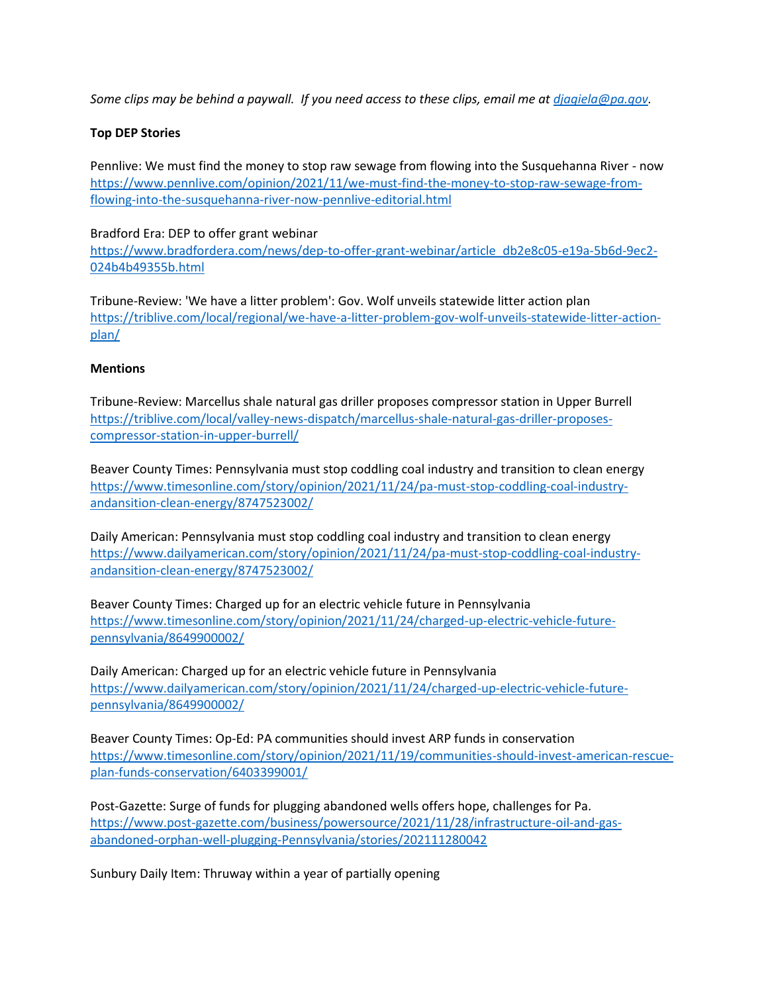*Some clips may be behind a paywall. If you need access to these clips, email me at djagiela@pa.gov.*

## **Top DEP Stories**

Pennlive: We must find the money to stop raw sewage from flowing into the Susquehanna River - now https://www.pennlive.com/opinion/2021/11/we-must-find-the-money-to-stop-raw-sewage-fromflowing-into-the-susquehanna-river-now-pennlive-editorial.html

### Bradford Era: DEP to offer grant webinar

https://www.bradfordera.com/news/dep-to-offer-grant-webinar/article db2e8c05-e19a-5b6d-9ec2- 024b4b49355b.html

Tribune-Review: 'We have a litter problem': Gov. Wolf unveils statewide litter action plan https://triblive.com/local/regional/we-have-a-litter-problem-gov-wolf-unveils-statewide-litter-actionplan/

## **Mentions**

Tribune-Review: Marcellus shale natural gas driller proposes compressor station in Upper Burrell https://triblive.com/local/valley-news-dispatch/marcellus-shale-natural-gas-driller-proposescompressor-station-in-upper-burrell/

Beaver County Times: Pennsylvania must stop coddling coal industry and transition to clean energy https://www.timesonline.com/story/opinion/2021/11/24/pa-must-stop-coddling-coal-industryandansition-clean-energy/8747523002/

Daily American: Pennsylvania must stop coddling coal industry and transition to clean energy https://www.dailyamerican.com/story/opinion/2021/11/24/pa-must-stop-coddling-coal-industryandansition-clean-energy/8747523002/

Beaver County Times: Charged up for an electric vehicle future in Pennsylvania https://www.timesonline.com/story/opinion/2021/11/24/charged-up-electric-vehicle-futurepennsylvania/8649900002/

Daily American: Charged up for an electric vehicle future in Pennsylvania https://www.dailyamerican.com/story/opinion/2021/11/24/charged-up-electric-vehicle-futurepennsylvania/8649900002/

Beaver County Times: Op-Ed: PA communities should invest ARP funds in conservation https://www.timesonline.com/story/opinion/2021/11/19/communities-should-invest-american-rescueplan-funds-conservation/6403399001/

Post-Gazette: Surge of funds for plugging abandoned wells offers hope, challenges for Pa. https://www.post-gazette.com/business/powersource/2021/11/28/infrastructure-oil-and-gasabandoned-orphan-well-plugging-Pennsylvania/stories/202111280042

Sunbury Daily Item: Thruway within a year of partially opening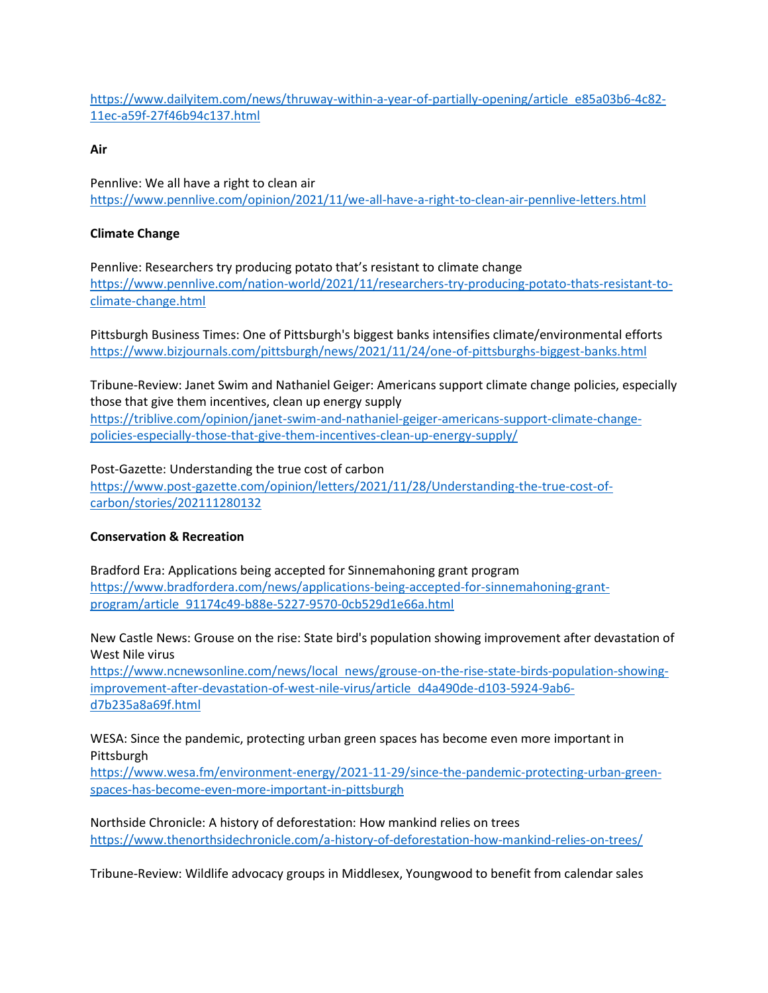https://www.dailyitem.com/news/thruway-within-a-year-of-partially-opening/article e85a03b6-4c82- 11ec-a59f-27f46b94c137.html

## **Air**

Pennlive: We all have a right to clean air https://www.pennlive.com/opinion/2021/11/we-all-have-a-right-to-clean-air-pennlive-letters.html

# **Climate Change**

Pennlive: Researchers try producing potato that's resistant to climate change https://www.pennlive.com/nation-world/2021/11/researchers-try-producing-potato-thats-resistant-toclimate-change.html

Pittsburgh Business Times: One of Pittsburgh's biggest banks intensifies climate/environmental efforts https://www.bizjournals.com/pittsburgh/news/2021/11/24/one-of-pittsburghs-biggest-banks.html

Tribune-Review: Janet Swim and Nathaniel Geiger: Americans support climate change policies, especially those that give them incentives, clean up energy supply

https://triblive.com/opinion/janet-swim-and-nathaniel-geiger-americans-support-climate-changepolicies-especially-those-that-give-them-incentives-clean-up-energy-supply/

Post-Gazette: Understanding the true cost of carbon https://www.post-gazette.com/opinion/letters/2021/11/28/Understanding-the-true-cost-ofcarbon/stories/202111280132

# **Conservation & Recreation**

Bradford Era: Applications being accepted for Sinnemahoning grant program https://www.bradfordera.com/news/applications-being-accepted-for-sinnemahoning-grantprogram/article 91174c49-b88e-5227-9570-0cb529d1e66a.html

New Castle News: Grouse on the rise: State bird's population showing improvement after devastation of West Nile virus

https://www.ncnewsonline.com/news/local news/grouse-on-the-rise-state-birds-population-showingimprovement-after-devastation-of-west-nile-virus/article d4a490de-d103-5924-9ab6 d7b235a8a69f.html

WESA: Since the pandemic, protecting urban green spaces has become even more important in Pittsburgh

https://www.wesa.fm/environment-energy/2021-11-29/since-the-pandemic-protecting-urban-greenspaces-has-become-even-more-important-in-pittsburgh

Northside Chronicle: A history of deforestation: How mankind relies on trees https://www.thenorthsidechronicle.com/a-history-of-deforestation-how-mankind-relies-on-trees/

Tribune-Review: Wildlife advocacy groups in Middlesex, Youngwood to benefit from calendar sales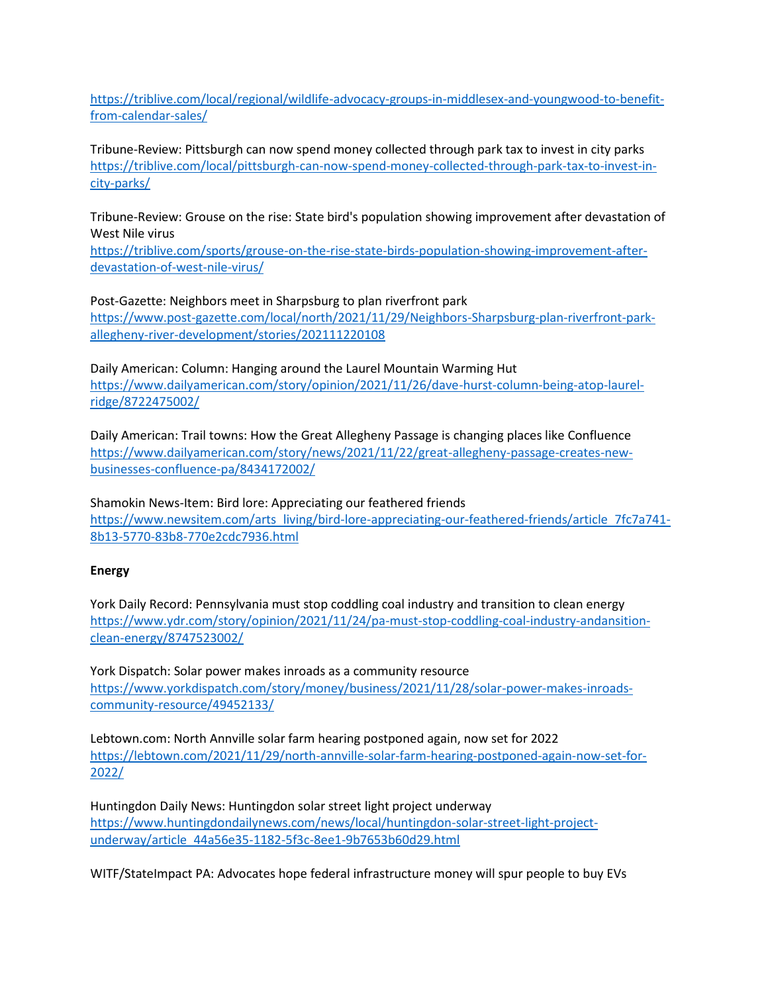https://triblive.com/local/regional/wildlife-advocacy-groups-in-middlesex-and-youngwood-to-benefitfrom-calendar-sales/

Tribune-Review: Pittsburgh can now spend money collected through park tax to invest in city parks https://triblive.com/local/pittsburgh-can-now-spend-money-collected-through-park-tax-to-invest-incity-parks/

Tribune-Review: Grouse on the rise: State bird's population showing improvement after devastation of West Nile virus

https://triblive.com/sports/grouse-on-the-rise-state-birds-population-showing-improvement-afterdevastation-of-west-nile-virus/

Post-Gazette: Neighbors meet in Sharpsburg to plan riverfront park https://www.post-gazette.com/local/north/2021/11/29/Neighbors-Sharpsburg-plan-riverfront-parkallegheny-river-development/stories/202111220108

Daily American: Column: Hanging around the Laurel Mountain Warming Hut https://www.dailyamerican.com/story/opinion/2021/11/26/dave-hurst-column-being-atop-laurelridge/8722475002/

Daily American: Trail towns: How the Great Allegheny Passage is changing places like Confluence https://www.dailyamerican.com/story/news/2021/11/22/great-allegheny-passage-creates-newbusinesses-confluence-pa/8434172002/

Shamokin News-Item: Bird lore: Appreciating our feathered friends https://www.newsitem.com/arts living/bird-lore-appreciating-our-feathered-friends/article 7fc7a741- 8b13-5770-83b8-770e2cdc7936.html

#### **Energy**

York Daily Record: Pennsylvania must stop coddling coal industry and transition to clean energy https://www.ydr.com/story/opinion/2021/11/24/pa-must-stop-coddling-coal-industry-andansitionclean-energy/8747523002/

York Dispatch: Solar power makes inroads as a community resource https://www.yorkdispatch.com/story/money/business/2021/11/28/solar-power-makes-inroadscommunity-resource/49452133/

Lebtown.com: North Annville solar farm hearing postponed again, now set for 2022 https://lebtown.com/2021/11/29/north-annville-solar-farm-hearing-postponed-again-now-set-for-2022/

Huntingdon Daily News: Huntingdon solar street light project underway https://www.huntingdondailynews.com/news/local/huntingdon-solar-street-light-projectunderway/article 44a56e35-1182-5f3c-8ee1-9b7653b60d29.html

WITF/StateImpact PA: Advocates hope federal infrastructure money will spur people to buy EVs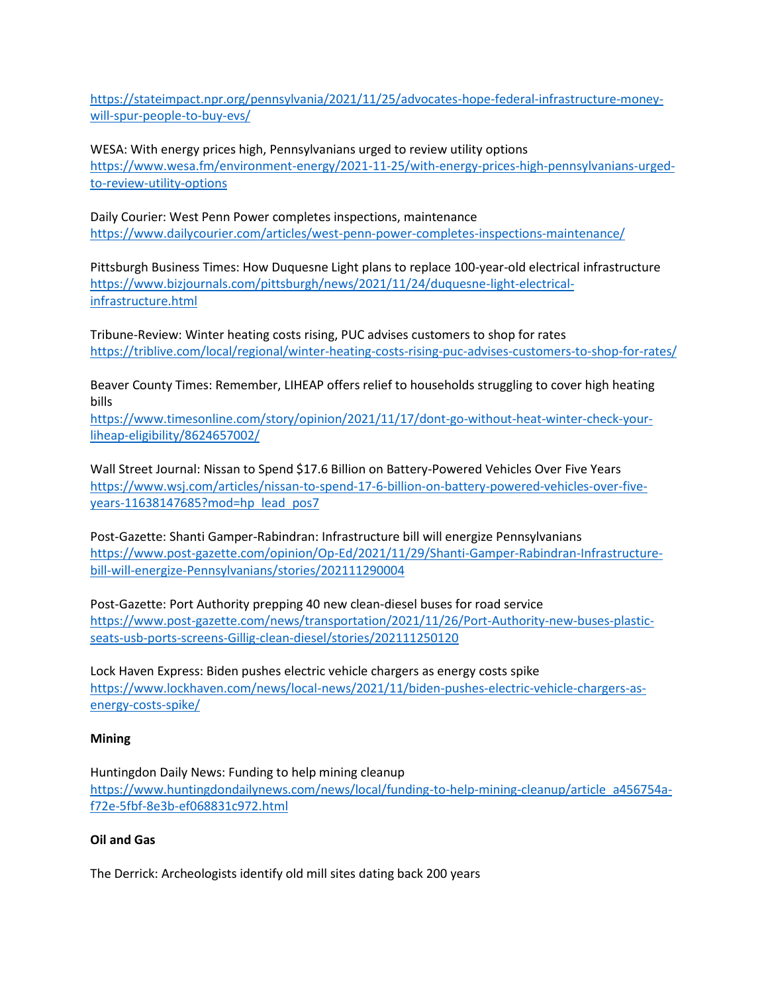https://stateimpact.npr.org/pennsylvania/2021/11/25/advocates-hope-federal-infrastructure-moneywill-spur-people-to-buy-evs/

WESA: With energy prices high, Pennsylvanians urged to review utility options https://www.wesa.fm/environment-energy/2021-11-25/with-energy-prices-high-pennsylvanians-urgedto-review-utility-options

Daily Courier: West Penn Power completes inspections, maintenance https://www.dailycourier.com/articles/west-penn-power-completes-inspections-maintenance/

Pittsburgh Business Times: How Duquesne Light plans to replace 100-year-old electrical infrastructure https://www.bizjournals.com/pittsburgh/news/2021/11/24/duquesne-light-electricalinfrastructure.html

Tribune-Review: Winter heating costs rising, PUC advises customers to shop for rates https://triblive.com/local/regional/winter-heating-costs-rising-puc-advises-customers-to-shop-for-rates/

Beaver County Times: Remember, LIHEAP offers relief to households struggling to cover high heating bills

https://www.timesonline.com/story/opinion/2021/11/17/dont-go-without-heat-winter-check-yourliheap-eligibility/8624657002/

Wall Street Journal: Nissan to Spend \$17.6 Billion on Battery-Powered Vehicles Over Five Years https://www.wsj.com/articles/nissan-to-spend-17-6-billion-on-battery-powered-vehicles-over-fiveyears-11638147685?mod=hp lead pos7

Post-Gazette: Shanti Gamper-Rabindran: Infrastructure bill will energize Pennsylvanians https://www.post-gazette.com/opinion/Op-Ed/2021/11/29/Shanti-Gamper-Rabindran-Infrastructurebill-will-energize-Pennsylvanians/stories/202111290004

Post-Gazette: Port Authority prepping 40 new clean-diesel buses for road service https://www.post-gazette.com/news/transportation/2021/11/26/Port-Authority-new-buses-plasticseats-usb-ports-screens-Gillig-clean-diesel/stories/202111250120

Lock Haven Express: Biden pushes electric vehicle chargers as energy costs spike https://www.lockhaven.com/news/local-news/2021/11/biden-pushes-electric-vehicle-chargers-asenergy-costs-spike/

#### **Mining**

Huntingdon Daily News: Funding to help mining cleanup https://www.huntingdondailynews.com/news/local/funding-to-help-mining-cleanup/article a456754af72e-5fbf-8e3b-ef068831c972.html

#### **Oil and Gas**

The Derrick: Archeologists identify old mill sites dating back 200 years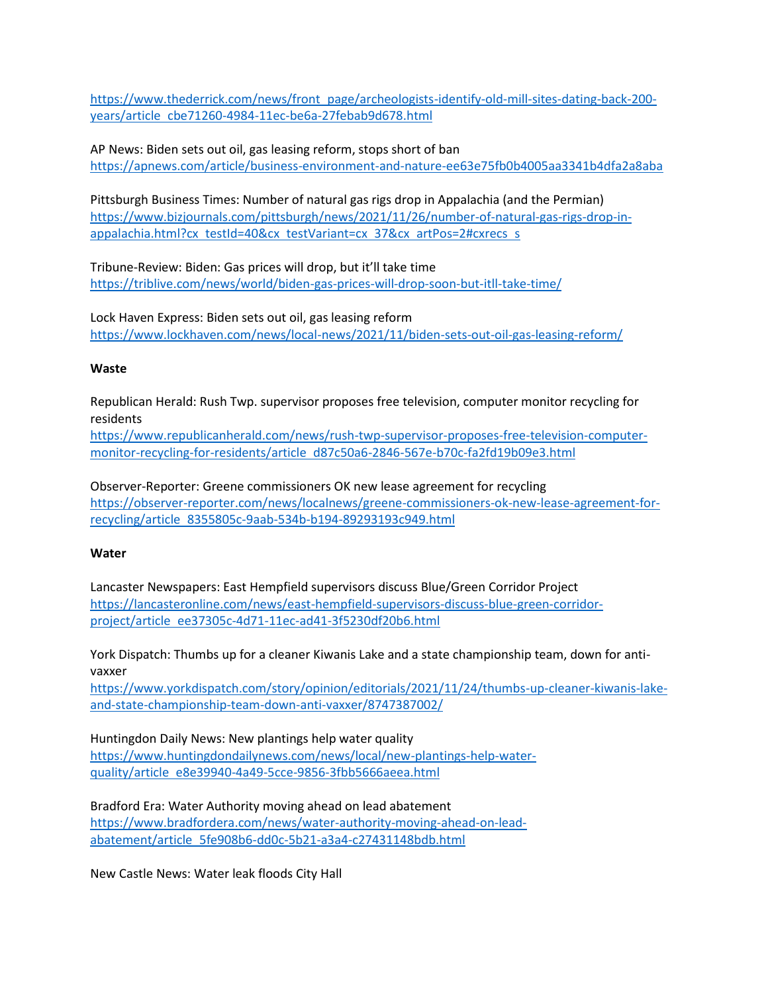https://www.thederrick.com/news/front page/archeologists-identify-old-mill-sites-dating-back-200 years/article cbe71260-4984-11ec-be6a-27febab9d678.html

AP News: Biden sets out oil, gas leasing reform, stops short of ban https://apnews.com/article/business-environment-and-nature-ee63e75fb0b4005aa3341b4dfa2a8aba

Pittsburgh Business Times: Number of natural gas rigs drop in Appalachia (and the Permian) https://www.bizjournals.com/pittsburgh/news/2021/11/26/number-of-natural-gas-rigs-drop-inappalachia.html?cx testId=40&cx testVariant=cx 37&cx artPos=2#cxrecs s

Tribune-Review: Biden: Gas prices will drop, but it'll take time https://triblive.com/news/world/biden-gas-prices-will-drop-soon-but-itll-take-time/

Lock Haven Express: Biden sets out oil, gas leasing reform https://www.lockhaven.com/news/local-news/2021/11/biden-sets-out-oil-gas-leasing-reform/

#### **Waste**

Republican Herald: Rush Twp. supervisor proposes free television, computer monitor recycling for residents

https://www.republicanherald.com/news/rush-twp-supervisor-proposes-free-television-computermonitor-recycling-for-residents/article d87c50a6-2846-567e-b70c-fa2fd19b09e3.html

Observer-Reporter: Greene commissioners OK new lease agreement for recycling https://observer-reporter.com/news/localnews/greene-commissioners-ok-new-lease-agreement-forrecycling/article 8355805c-9aab-534b-b194-89293193c949.html

#### **Water**

Lancaster Newspapers: East Hempfield supervisors discuss Blue/Green Corridor Project https://lancasteronline.com/news/east-hempfield-supervisors-discuss-blue-green-corridorproject/article ee37305c-4d71-11ec-ad41-3f5230df20b6.html

York Dispatch: Thumbs up for a cleaner Kiwanis Lake and a state championship team, down for antivaxxer

https://www.yorkdispatch.com/story/opinion/editorials/2021/11/24/thumbs-up-cleaner-kiwanis-lakeand-state-championship-team-down-anti-vaxxer/8747387002/

Huntingdon Daily News: New plantings help water quality https://www.huntingdondailynews.com/news/local/new-plantings-help-waterquality/article e8e39940-4a49-5cce-9856-3fbb5666aeea.html

Bradford Era: Water Authority moving ahead on lead abatement https://www.bradfordera.com/news/water-authority-moving-ahead-on-leadabatement/article 5fe908b6-dd0c-5b21-a3a4-c27431148bdb.html

New Castle News: Water leak floods City Hall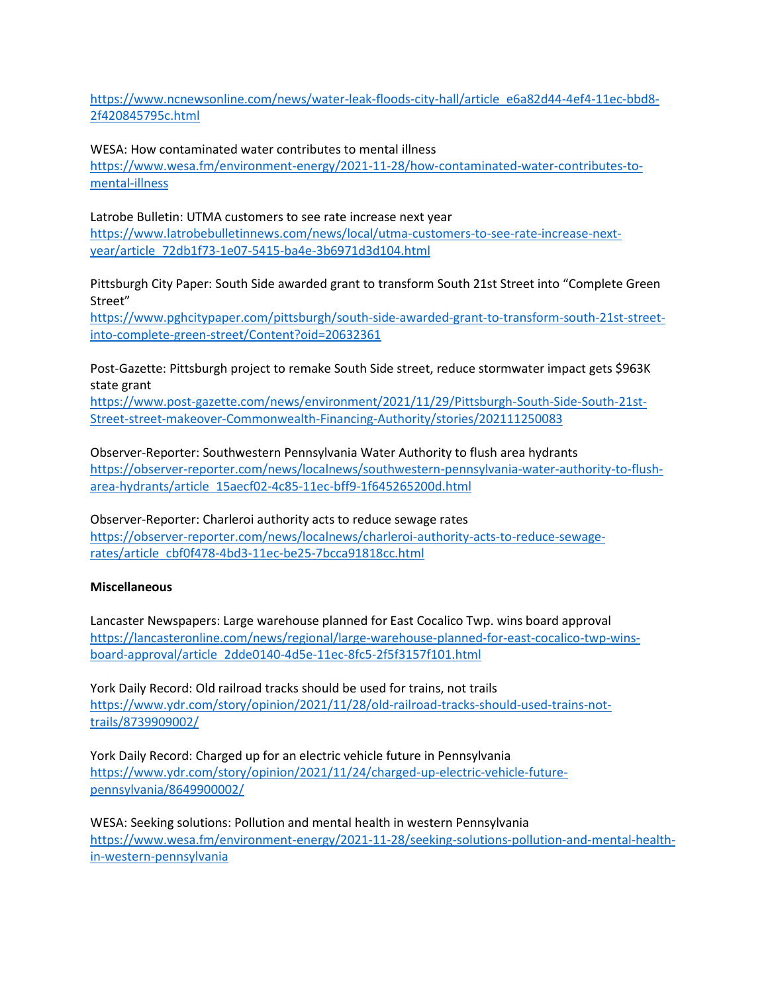https://www.ncnewsonline.com/news/water-leak-floods-city-hall/article e6a82d44-4ef4-11ec-bbd8- 2f420845795c.html

WESA: How contaminated water contributes to mental illness https://www.wesa.fm/environment-energy/2021-11-28/how-contaminated-water-contributes-tomental-illness

Latrobe Bulletin: UTMA customers to see rate increase next year https://www.latrobebulletinnews.com/news/local/utma-customers-to-see-rate-increase-nextyear/article 72db1f73-1e07-5415-ba4e-3b6971d3d104.html

Pittsburgh City Paper: South Side awarded grant to transform South 21st Street into "Complete Green Street"

https://www.pghcitypaper.com/pittsburgh/south-side-awarded-grant-to-transform-south-21st-streetinto-complete-green-street/Content?oid=20632361

Post-Gazette: Pittsburgh project to remake South Side street, reduce stormwater impact gets \$963K state grant

https://www.post-gazette.com/news/environment/2021/11/29/Pittsburgh-South-Side-South-21st-Street-street-makeover-Commonwealth-Financing-Authority/stories/202111250083

Observer-Reporter: Southwestern Pennsylvania Water Authority to flush area hydrants https://observer-reporter.com/news/localnews/southwestern-pennsylvania-water-authority-to-flusharea-hydrants/article 15aecf02-4c85-11ec-bff9-1f645265200d.html

Observer-Reporter: Charleroi authority acts to reduce sewage rates https://observer-reporter.com/news/localnews/charleroi-authority-acts-to-reduce-sewagerates/article cbf0f478-4bd3-11ec-be25-7bcca91818cc.html

### **Miscellaneous**

Lancaster Newspapers: Large warehouse planned for East Cocalico Twp. wins board approval https://lancasteronline.com/news/regional/large-warehouse-planned-for-east-cocalico-twp-winsboard-approval/article 2dde0140-4d5e-11ec-8fc5-2f5f3157f101.html

York Daily Record: Old railroad tracks should be used for trains, not trails https://www.ydr.com/story/opinion/2021/11/28/old-railroad-tracks-should-used-trains-nottrails/8739909002/

York Daily Record: Charged up for an electric vehicle future in Pennsylvania https://www.ydr.com/story/opinion/2021/11/24/charged-up-electric-vehicle-futurepennsylvania/8649900002/

WESA: Seeking solutions: Pollution and mental health in western Pennsylvania https://www.wesa.fm/environment-energy/2021-11-28/seeking-solutions-pollution-and-mental-healthin-western-pennsylvania